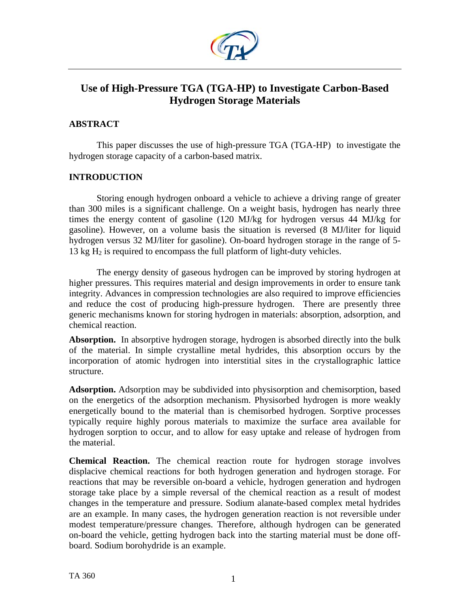

# **Use of High-Pressure TGA (TGA-HP) to Investigate Carbon-Based Hydrogen Storage Materials**

# **ABSTRACT**

This paper discusses the use of high-pressure TGA (TGA-HP) to investigate the hydrogen storage capacity of a carbon-based matrix.

# **INTRODUCTION**

Storing enough hydrogen onboard a vehicle to achieve a driving range of greater than 300 miles is a significant challenge. On a weight basis, hydrogen has nearly three times the energy content of gasoline (120 MJ/kg for hydrogen versus 44 MJ/kg for gasoline). However, on a volume basis the situation is reversed (8 MJ/liter for liquid hydrogen versus 32 MJ/liter for gasoline). On-board hydrogen storage in the range of 5- 13 kg  $H<sub>2</sub>$  is required to encompass the full platform of light-duty vehicles.

The energy density of gaseous hydrogen can be improved by storing hydrogen at higher pressures. This requires material and design improvements in order to ensure tank integrity. Advances in compression technologies are also required to improve efficiencies and reduce the cost of producing high-pressure hydrogen. There are presently three generic mechanisms known for storing hydrogen in materials: absorption, adsorption, and chemical reaction.

**Absorption.** In absorptive hydrogen storage, hydrogen is absorbed directly into the bulk of the material. In simple crystalline metal hydrides, this absorption occurs by the incorporation of atomic hydrogen into interstitial sites in the crystallographic lattice structure.

**Adsorption.** Adsorption may be subdivided into physisorption and chemisorption, based on the energetics of the adsorption mechanism. Physisorbed hydrogen is more weakly energetically bound to the material than is chemisorbed hydrogen. Sorptive processes typically require highly porous materials to maximize the surface area available for hydrogen sorption to occur, and to allow for easy uptake and release of hydrogen from the material.

**Chemical Reaction.** The chemical reaction route for hydrogen storage involves displacive chemical reactions for both hydrogen generation and hydrogen storage. For reactions that may be reversible on-board a vehicle, hydrogen generation and hydrogen storage take place by a simple reversal of the chemical reaction as a result of modest changes in the temperature and pressure. Sodium alanate-based complex metal hydrides are an example. In many cases, the hydrogen generation reaction is not reversible under modest temperature/pressure changes. Therefore, although hydrogen can be generated on-board the vehicle, getting hydrogen back into the starting material must be done offboard. Sodium borohydride is an example.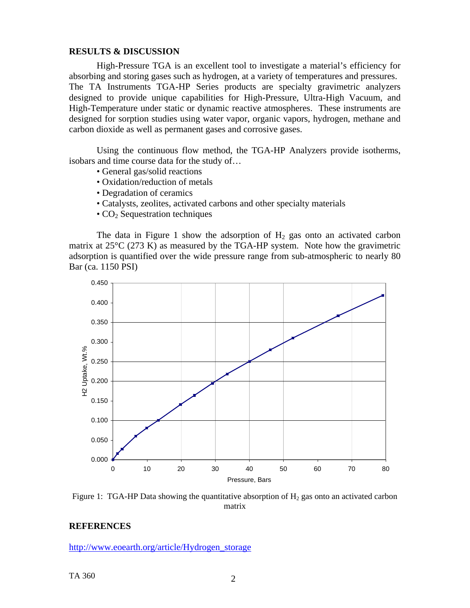# **RESULTS & DISCUSSION**

 High-Pressure TGA is an excellent tool to investigate a material's efficiency for absorbing and storing gases such as hydrogen, at a variety of temperatures and pressures. The TA Instruments TGA-HP Series products are specialty gravimetric analyzers designed to provide unique capabilities for High-Pressure, Ultra-High Vacuum, and High-Temperature under static or dynamic reactive atmospheres. These instruments are designed for sorption studies using water vapor, organic vapors, hydrogen, methane and carbon dioxide as well as permanent gases and corrosive gases.

Using the continuous flow method, the TGA-HP Analyzers provide isotherms, isobars and time course data for the study of…

- General gas/solid reactions
- Oxidation/reduction of metals
- Degradation of ceramics
- Catalysts, zeolites, activated carbons and other specialty materials
- $\cdot$  CO<sub>2</sub> Sequestration techniques

The data in Figure 1 show the adsorption of  $H_2$  gas onto an activated carbon matrix at 25°C (273 K) as measured by the TGA-HP system. Note how the gravimetric adsorption is quantified over the wide pressure range from sub-atmospheric to nearly 80 Bar (ca. 1150 PSI)



Figure 1: TGA-HP Data showing the quantitative absorption of  $H_2$  gas onto an activated carbon matrix

# **REFERENCES**

[http://www.eoearth.org/article/Hydrogen\\_storage](http://www.eoearth.org/article/Hydrogen_storage)